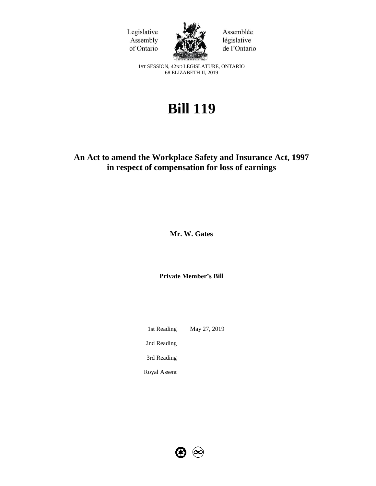



Assemblée législative de l'Ontario

1ST SESSION, 42ND LEGISLATURE, ONTARIO 68 ELIZABETH II, 2019

# **Bill 119**

# **An Act to amend the Workplace Safety and Insurance Act, 1997 in respect of compensation for loss of earnings**

**Mr. W. Gates**

**Private Member's Bill**

1st Reading May 27, 2019 2nd Reading 3rd Reading Royal Assent